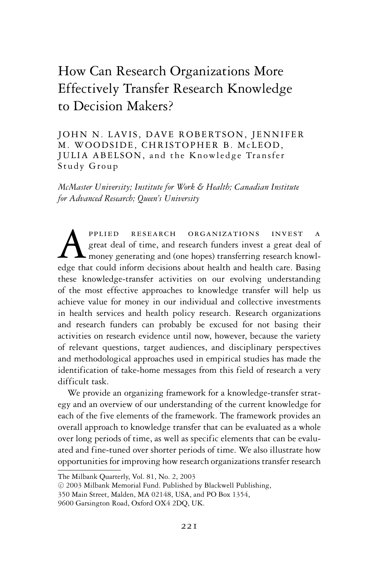# How Can Research Organizations More Effectively Transfer Research Knowledge to Decision Makers?

JOHN N. LAVIS, DAVE ROBERTSON, JENNIFER M. WOODSIDE, CHRISTOPHER B. McLEOD, JULIA ABELSON, and the Knowledge Transfer Study Group

*McMaster University; Institute for Work & Health; Canadian Institute for Advanced Research; Queen's University*

**APPLIED RESEARCH ORGANIZATIONS INVEST A**<br>great deal of time, and research funders invest a great deal of<br>money generating and (one hopes) transferring research knowl-<br>edge that could inform decisions about health and heal great deal of time, and research funders invest a great deal of money generating and (one hopes) transferring research knowledge that could inform decisions about health and health care. Basing these knowledge-transfer activities on our evolving understanding of the most effective approaches to knowledge transfer will help us achieve value for money in our individual and collective investments in health services and health policy research. Research organizations and research funders can probably be excused for not basing their activities on research evidence until now, however, because the variety of relevant questions, target audiences, and disciplinary perspectives and methodological approaches used in empirical studies has made the identification of take-home messages from this field of research a very difficult task.

We provide an organizing framework for a knowledge-transfer strategy and an overview of our understanding of the current knowledge for each of the five elements of the framework. The framework provides an overall approach to knowledge transfer that can be evaluated as a whole over long periods of time, as well as specific elements that can be evaluated and fine-tuned over shorter periods of time. We also illustrate how opportunities for improving how research organizations transfer research

The Milbank Quarterly, Vol. 81, No. 2, 2003

c 2003 Milbank Memorial Fund. Published by Blackwell Publishing,

<sup>350</sup> Main Street, Malden, MA 02148, USA, and PO Box 1354,

<sup>9600</sup> Garsington Road, Oxford OX4 2DQ, UK.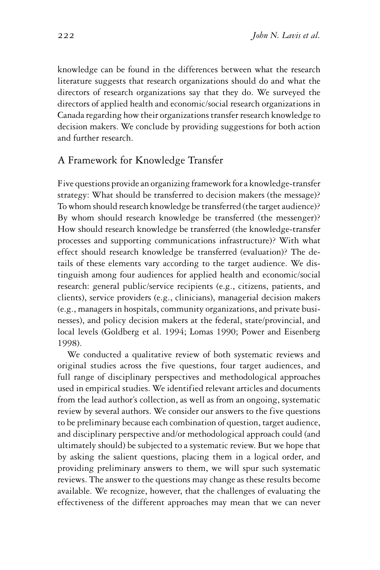knowledge can be found in the differences between what the research literature suggests that research organizations should do and what the directors of research organizations say that they do. We surveyed the directors of applied health and economic/social research organizations in Canada regarding how their organizations transfer research knowledge to decision makers. We conclude by providing suggestions for both action and further research.

#### A Framework for Knowledge Transfer

Five questions provide an organizing framework for a knowledge-transfer strategy: What should be transferred to decision makers (the message)? To whom should research knowledge be transferred (the target audience)? By whom should research knowledge be transferred (the messenger)? How should research knowledge be transferred (the knowledge-transfer processes and supporting communications infrastructure)? With what effect should research knowledge be transferred (evaluation)? The details of these elements vary according to the target audience. We distinguish among four audiences for applied health and economic/social research: general public/service recipients (e.g., citizens, patients, and clients), service providers (e.g., clinicians), managerial decision makers (e.g., managers in hospitals, community organizations, and private businesses), and policy decision makers at the federal, state/provincial, and local levels (Goldberg et al. 1994; Lomas 1990; Power and Eisenberg 1998).

We conducted a qualitative review of both systematic reviews and original studies across the five questions, four target audiences, and full range of disciplinary perspectives and methodological approaches used in empirical studies. We identified relevant articles and documents from the lead author's collection, as well as from an ongoing, systematic review by several authors. We consider our answers to the five questions to be preliminary because each combination of question, target audience, and disciplinary perspective and/or methodological approach could (and ultimately should) be subjected to a systematic review. But we hope that by asking the salient questions, placing them in a logical order, and providing preliminary answers to them, we will spur such systematic reviews. The answer to the questions may change as these results become available. We recognize, however, that the challenges of evaluating the effectiveness of the different approaches may mean that we can never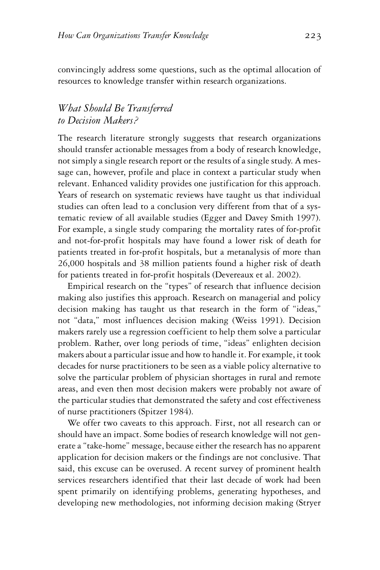convincingly address some questions, such as the optimal allocation of resources to knowledge transfer within research organizations.

# *What Should Be Transferred to Decision Makers?*

The research literature strongly suggests that research organizations should transfer actionable messages from a body of research knowledge, not simply a single research report or the results of a single study. A message can, however, profile and place in context a particular study when relevant. Enhanced validity provides one justification for this approach. Years of research on systematic reviews have taught us that individual studies can often lead to a conclusion very different from that of a systematic review of all available studies (Egger and Davey Smith 1997). For example, a single study comparing the mortality rates of for-profit and not-for-profit hospitals may have found a lower risk of death for patients treated in for-profit hospitals, but a metanalysis of more than 26,000 hospitals and 38 million patients found a higher risk of death for patients treated in for-profit hospitals (Devereaux et al. 2002).

Empirical research on the "types" of research that influence decision making also justifies this approach. Research on managerial and policy decision making has taught us that research in the form of "ideas," not "data," most influences decision making (Weiss 1991). Decision makers rarely use a regression coefficient to help them solve a particular problem. Rather, over long periods of time, "ideas" enlighten decision makers about a particular issue and how to handle it. For example, it took decades for nurse practitioners to be seen as a viable policy alternative to solve the particular problem of physician shortages in rural and remote areas, and even then most decision makers were probably not aware of the particular studies that demonstrated the safety and cost effectiveness of nurse practitioners (Spitzer 1984).

We offer two caveats to this approach. First, not all research can or should have an impact. Some bodies of research knowledge will not generate a "take-home" message, because either the research has no apparent application for decision makers or the findings are not conclusive. That said, this excuse can be overused. A recent survey of prominent health services researchers identified that their last decade of work had been spent primarily on identifying problems, generating hypotheses, and developing new methodologies, not informing decision making (Stryer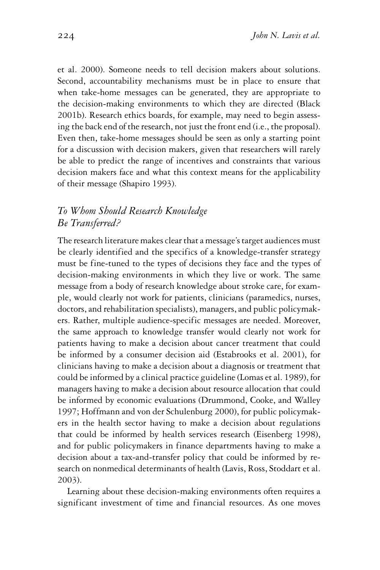et al. 2000). Someone needs to tell decision makers about solutions. Second, accountability mechanisms must be in place to ensure that when take-home messages can be generated, they are appropriate to the decision-making environments to which they are directed (Black 2001b). Research ethics boards, for example, may need to begin assessing the back end of the research, not just the front end (i.e., the proposal). Even then, take-home messages should be seen as only a starting point for a discussion with decision makers, given that researchers will rarely be able to predict the range of incentives and constraints that various decision makers face and what this context means for the applicability of their message (Shapiro 1993).

### *To Whom Should Research Knowledge Be Transferred?*

The research literature makes clear that a message's target audiences must be clearly identified and the specifics of a knowledge-transfer strategy must be fine-tuned to the types of decisions they face and the types of decision-making environments in which they live or work. The same message from a body of research knowledge about stroke care, for example, would clearly not work for patients, clinicians (paramedics, nurses, doctors, and rehabilitation specialists), managers, and public policymakers. Rather, multiple audience-specific messages are needed. Moreover, the same approach to knowledge transfer would clearly not work for patients having to make a decision about cancer treatment that could be informed by a consumer decision aid (Estabrooks et al. 2001), for clinicians having to make a decision about a diagnosis or treatment that could be informed by a clinical practice guideline (Lomas et al. 1989), for managers having to make a decision about resource allocation that could be informed by economic evaluations (Drummond, Cooke, and Walley 1997; Hoffmann and von der Schulenburg 2000), for public policymakers in the health sector having to make a decision about regulations that could be informed by health services research (Eisenberg 1998), and for public policymakers in finance departments having to make a decision about a tax-and-transfer policy that could be informed by research on nonmedical determinants of health (Lavis, Ross, Stoddart et al. 2003).

Learning about these decision-making environments often requires a significant investment of time and financial resources. As one moves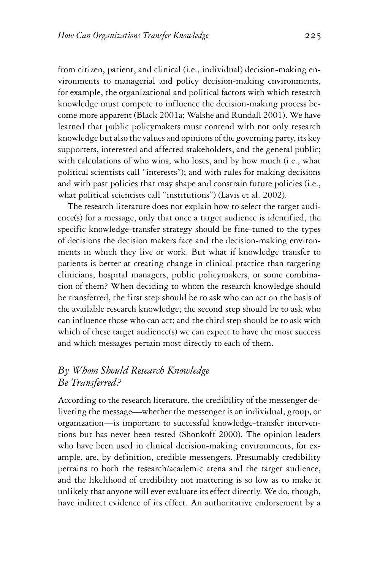from citizen, patient, and clinical (i.e., individual) decision-making environments to managerial and policy decision-making environments, for example, the organizational and political factors with which research knowledge must compete to influence the decision-making process become more apparent (Black 2001a; Walshe and Rundall 2001). We have learned that public policymakers must contend with not only research knowledge but also the values and opinions of the governing party, its key supporters, interested and affected stakeholders, and the general public; with calculations of who wins, who loses, and by how much (i.e., what political scientists call "interests"); and with rules for making decisions and with past policies that may shape and constrain future policies (i.e., what political scientists call "institutions") (Lavis et al. 2002).

The research literature does not explain how to select the target audience(s) for a message, only that once a target audience is identified, the specific knowledge-transfer strategy should be fine-tuned to the types of decisions the decision makers face and the decision-making environments in which they live or work. But what if knowledge transfer to patients is better at creating change in clinical practice than targeting clinicians, hospital managers, public policymakers, or some combination of them? When deciding to whom the research knowledge should be transferred, the first step should be to ask who can act on the basis of the available research knowledge; the second step should be to ask who can influence those who can act; and the third step should be to ask with which of these target audience(s) we can expect to have the most success and which messages pertain most directly to each of them.

# *By Whom Should Research Knowledge Be Transferred?*

According to the research literature, the credibility of the messenger delivering the message—whether the messenger is an individual, group, or organization—is important to successful knowledge-transfer interventions but has never been tested (Shonkoff 2000). The opinion leaders who have been used in clinical decision-making environments, for example, are, by definition, credible messengers. Presumably credibility pertains to both the research/academic arena and the target audience, and the likelihood of credibility not mattering is so low as to make it unlikely that anyone will ever evaluate its effect directly. We do, though, have indirect evidence of its effect. An authoritative endorsement by a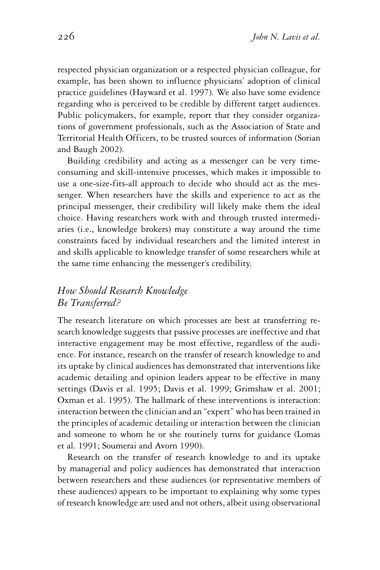respected physician organization or a respected physician colleague, for example, has been shown to influence physicians' adoption of clinical practice guidelines (Hayward et al. 1997). We also have some evidence regarding who is perceived to be credible by different target audiences. Public policymakers, for example, report that they consider organizations of government professionals, such as the Association of State and Territorial Health Officers, to be trusted sources of information (Sorian and Baugh 2002).

Building credibility and acting as a messenger can be very timeconsuming and skill-intensive processes, which makes it impossible to use a one-size-fits-all approach to decide who should act as the messenger. When researchers have the skills and experience to act as the principal messenger, their credibility will likely make them the ideal choice. Having researchers work with and through trusted intermediaries (i.e., knowledge brokers) may constitute a way around the time constraints faced by individual researchers and the limited interest in and skills applicable to knowledge transfer of some researchers while at the same time enhancing the messenger's credibility.

## *How Should Research Knowledge Be Transferred?*

The research literature on which processes are best at transferring research knowledge suggests that passive processes are ineffective and that interactive engagement may be most effective, regardless of the audience. For instance, research on the transfer of research knowledge to and its uptake by clinical audiences has demonstrated that interventions like academic detailing and opinion leaders appear to be effective in many settings (Davis et al. 1995; Davis et al. 1999; Grimshaw et al. 2001; Oxman et al. 1995). The hallmark of these interventions is interaction: interaction between the clinician and an "expert" who has been trained in the principles of academic detailing or interaction between the clinician and someone to whom he or she routinely turns for guidance (Lomas et al. 1991; Soumerai and Avorn 1990).

Research on the transfer of research knowledge to and its uptake by managerial and policy audiences has demonstrated that interaction between researchers and these audiences (or representative members of these audiences) appears to be important to explaining why some types of research knowledge are used and not others, albeit using observational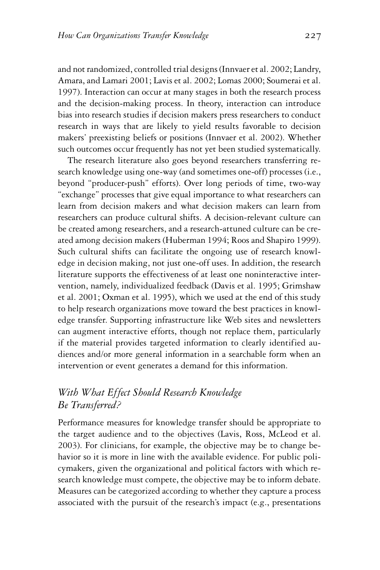and not randomized, controlled trial designs (Innvaer et al. 2002; Landry, Amara, and Lamari 2001; Lavis et al. 2002; Lomas 2000; Soumerai et al. 1997). Interaction can occur at many stages in both the research process and the decision-making process. In theory, interaction can introduce bias into research studies if decision makers press researchers to conduct research in ways that are likely to yield results favorable to decision makers' preexisting beliefs or positions (Innvaer et al. 2002). Whether such outcomes occur frequently has not yet been studied systematically.

The research literature also goes beyond researchers transferring research knowledge using one-way (and sometimes one-off) processes (i.e., beyond "producer-push" efforts). Over long periods of time, two-way "exchange" processes that give equal importance to what researchers can learn from decision makers and what decision makers can learn from researchers can produce cultural shifts. A decision-relevant culture can be created among researchers, and a research-attuned culture can be created among decision makers (Huberman 1994; Roos and Shapiro 1999). Such cultural shifts can facilitate the ongoing use of research knowledge in decision making, not just one-off uses. In addition, the research literature supports the effectiveness of at least one noninteractive intervention, namely, individualized feedback (Davis et al. 1995; Grimshaw et al. 2001; Oxman et al. 1995), which we used at the end of this study to help research organizations move toward the best practices in knowledge transfer. Supporting infrastructure like Web sites and newsletters can augment interactive efforts, though not replace them, particularly if the material provides targeted information to clearly identified audiences and/or more general information in a searchable form when an intervention or event generates a demand for this information.

# *With What Effect Should Research Knowledge Be Transferred?*

Performance measures for knowledge transfer should be appropriate to the target audience and to the objectives (Lavis, Ross, McLeod et al. 2003). For clinicians, for example, the objective may be to change behavior so it is more in line with the available evidence. For public policymakers, given the organizational and political factors with which research knowledge must compete, the objective may be to inform debate. Measures can be categorized according to whether they capture a process associated with the pursuit of the research's impact (e.g., presentations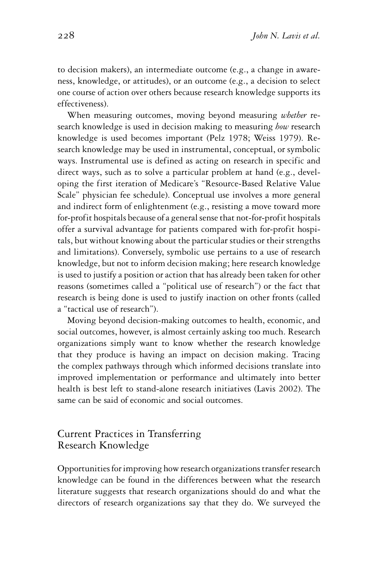to decision makers), an intermediate outcome (e.g., a change in awareness, knowledge, or attitudes), or an outcome (e.g., a decision to select one course of action over others because research knowledge supports its effectiveness).

When measuring outcomes, moving beyond measuring *whether* research knowledge is used in decision making to measuring *how* research knowledge is used becomes important (Pelz 1978; Weiss 1979). Research knowledge may be used in instrumental, conceptual, or symbolic ways. Instrumental use is defined as acting on research in specific and direct ways, such as to solve a particular problem at hand (e.g., developing the first iteration of Medicare's "Resource-Based Relative Value Scale" physician fee schedule). Conceptual use involves a more general and indirect form of enlightenment (e.g., resisting a move toward more for-profit hospitals because of a general sense that not-for-profit hospitals offer a survival advantage for patients compared with for-profit hospitals, but without knowing about the particular studies or their strengths and limitations). Conversely, symbolic use pertains to a use of research knowledge, but not to inform decision making; here research knowledge is used to justify a position or action that has already been taken for other reasons (sometimes called a "political use of research") or the fact that research is being done is used to justify inaction on other fronts (called a "tactical use of research").

Moving beyond decision-making outcomes to health, economic, and social outcomes, however, is almost certainly asking too much. Research organizations simply want to know whether the research knowledge that they produce is having an impact on decision making. Tracing the complex pathways through which informed decisions translate into improved implementation or performance and ultimately into better health is best left to stand-alone research initiatives (Lavis 2002). The same can be said of economic and social outcomes.

## Current Practices in Transferring Research Knowledge

Opportunities for improving how research organizations transfer research knowledge can be found in the differences between what the research literature suggests that research organizations should do and what the directors of research organizations say that they do. We surveyed the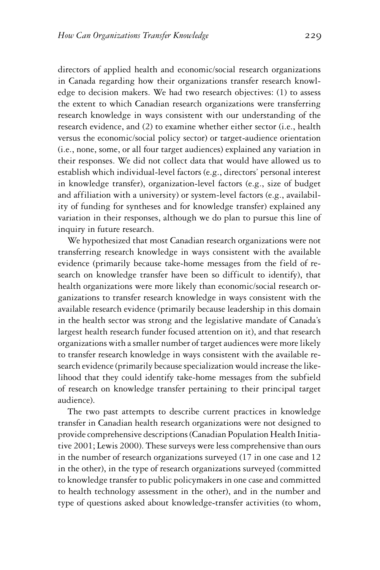directors of applied health and economic/social research organizations in Canada regarding how their organizations transfer research knowledge to decision makers. We had two research objectives: (1) to assess the extent to which Canadian research organizations were transferring research knowledge in ways consistent with our understanding of the research evidence, and (2) to examine whether either sector (i.e., health versus the economic/social policy sector) or target-audience orientation (i.e., none, some, or all four target audiences) explained any variation in their responses. We did not collect data that would have allowed us to establish which individual-level factors (e.g., directors' personal interest in knowledge transfer), organization-level factors (e.g., size of budget and affiliation with a university) or system-level factors (e.g., availability of funding for syntheses and for knowledge transfer) explained any variation in their responses, although we do plan to pursue this line of inquiry in future research.

We hypothesized that most Canadian research organizations were not transferring research knowledge in ways consistent with the available evidence (primarily because take-home messages from the field of research on knowledge transfer have been so difficult to identify), that health organizations were more likely than economic/social research organizations to transfer research knowledge in ways consistent with the available research evidence (primarily because leadership in this domain in the health sector was strong and the legislative mandate of Canada's largest health research funder focused attention on it), and that research organizations with a smaller number of target audiences were more likely to transfer research knowledge in ways consistent with the available research evidence (primarily because specialization would increase the likelihood that they could identify take-home messages from the subfield of research on knowledge transfer pertaining to their principal target audience).

The two past attempts to describe current practices in knowledge transfer in Canadian health research organizations were not designed to provide comprehensive descriptions (Canadian Population Health Initiative 2001; Lewis 2000). These surveys were less comprehensive than ours in the number of research organizations surveyed (17 in one case and 12 in the other), in the type of research organizations surveyed (committed to knowledge transfer to public policymakers in one case and committed to health technology assessment in the other), and in the number and type of questions asked about knowledge-transfer activities (to whom,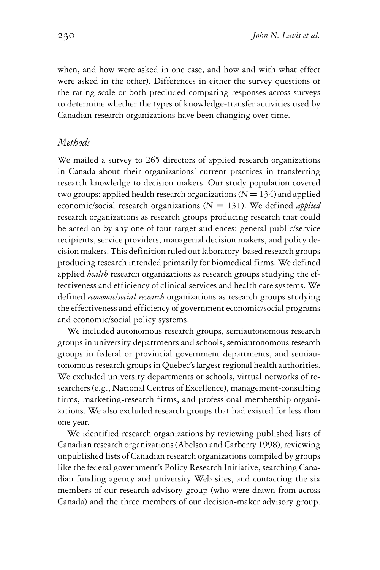when, and how were asked in one case, and how and with what effect were asked in the other). Differences in either the survey questions or the rating scale or both precluded comparing responses across surveys to determine whether the types of knowledge-transfer activities used by Canadian research organizations have been changing over time.

#### *Methods*

We mailed a survey to 265 directors of applied research organizations in Canada about their organizations' current practices in transferring research knowledge to decision makers. Our study population covered two groups: applied health research organizations  $(N = 134)$  and applied economic/social research organizations (*N* = 131). We defined *applied* research organizations as research groups producing research that could be acted on by any one of four target audiences: general public/service recipients, service providers, managerial decision makers, and policy decision makers. This definition ruled out laboratory-based research groups producing research intended primarily for biomedical firms. We defined applied *health* research organizations as research groups studying the effectiveness and efficiency of clinical services and health care systems. We defined *economic/social research* organizations as research groups studying the effectiveness and efficiency of government economic/social programs and economic/social policy systems.

We included autonomous research groups, semiautonomous research groups in university departments and schools, semiautonomous research groups in federal or provincial government departments, and semiautonomous research groups in Quebec's largest regional health authorities. We excluded university departments or schools, virtual networks of researchers (e.g., National Centres of Excellence), management-consulting firms, marketing-research firms, and professional membership organizations. We also excluded research groups that had existed for less than one year.

We identified research organizations by reviewing published lists of Canadian research organizations (Abelson and Carberry 1998), reviewing unpublished lists of Canadian research organizations compiled by groups like the federal government's Policy Research Initiative, searching Canadian funding agency and university Web sites, and contacting the six members of our research advisory group (who were drawn from across Canada) and the three members of our decision-maker advisory group.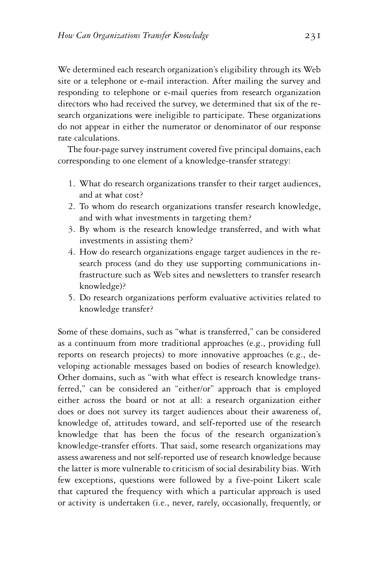We determined each research organization's eligibility through its Web site or a telephone or e-mail interaction. After mailing the survey and responding to telephone or e-mail queries from research organization directors who had received the survey, we determined that six of the research organizations were ineligible to participate. These organizations do not appear in either the numerator or denominator of our response rate calculations.

The four-page survey instrument covered five principal domains, each corresponding to one element of a knowledge-transfer strategy:

- 1. What do research organizations transfer to their target audiences, and at what cost?
- 2. To whom do research organizations transfer research knowledge, and with what investments in targeting them?
- 3. By whom is the research knowledge transferred, and with what investments in assisting them?
- 4. How do research organizations engage target audiences in the research process (and do they use supporting communications infrastructure such as Web sites and newsletters to transfer research knowledge)?
- 5. Do research organizations perform evaluative activities related to knowledge transfer?

Some of these domains, such as "what is transferred," can be considered as a continuum from more traditional approaches (e.g., providing full reports on research projects) to more innovative approaches (e.g., developing actionable messages based on bodies of research knowledge). Other domains, such as "with what effect is research knowledge transferred," can be considered an "either/or" approach that is employed either across the board or not at all: a research organization either does or does not survey its target audiences about their awareness of, knowledge of, attitudes toward, and self-reported use of the research knowledge that has been the focus of the research organization's knowledge-transfer efforts. That said, some research organizations may assess awareness and not self-reported use of research knowledge because the latter is more vulnerable to criticism of social desirability bias. With few exceptions, questions were followed by a five-point Likert scale that captured the frequency with which a particular approach is used or activity is undertaken (i.e., never, rarely, occasionally, frequently, or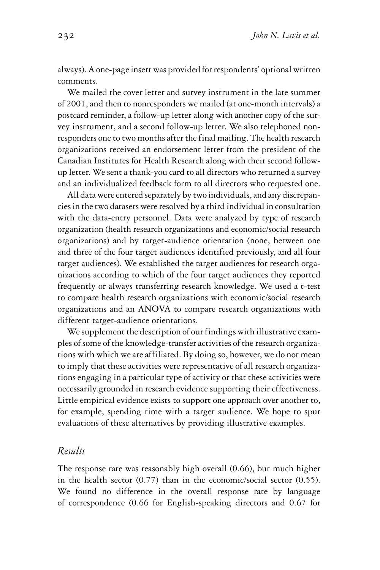always). A one-page insert was provided for respondents' optional written comments.

We mailed the cover letter and survey instrument in the late summer of 2001, and then to nonresponders we mailed (at one-month intervals) a postcard reminder, a follow-up letter along with another copy of the survey instrument, and a second follow-up letter. We also telephoned nonresponders one to two months after the final mailing. The health research organizations received an endorsement letter from the president of the Canadian Institutes for Health Research along with their second followup letter. We sent a thank-you card to all directors who returned a survey and an individualized feedback form to all directors who requested one.

All data were entered separately by two individuals, and any discrepancies in the two datasets were resolved by a third individual in consultation with the data-entry personnel. Data were analyzed by type of research organization (health research organizations and economic/social research organizations) and by target-audience orientation (none, between one and three of the four target audiences identified previously, and all four target audiences). We established the target audiences for research organizations according to which of the four target audiences they reported frequently or always transferring research knowledge. We used a t-test to compare health research organizations with economic/social research organizations and an ANOVA to compare research organizations with different target-audience orientations.

We supplement the description of our findings with illustrative examples of some of the knowledge-transfer activities of the research organizations with which we are affiliated. By doing so, however, we do not mean to imply that these activities were representative of all research organizations engaging in a particular type of activity or that these activities were necessarily grounded in research evidence supporting their effectiveness. Little empirical evidence exists to support one approach over another to, for example, spending time with a target audience. We hope to spur evaluations of these alternatives by providing illustrative examples.

#### *Results*

The response rate was reasonably high overall (0.66), but much higher in the health sector (0.77) than in the economic/social sector (0.55). We found no difference in the overall response rate by language of correspondence (0.66 for English-speaking directors and 0.67 for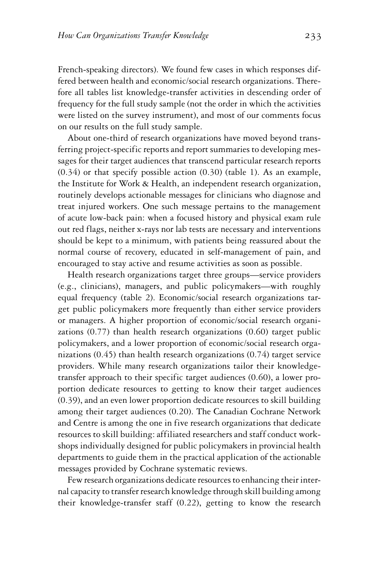French-speaking directors). We found few cases in which responses differed between health and economic/social research organizations. Therefore all tables list knowledge-transfer activities in descending order of frequency for the full study sample (not the order in which the activities were listed on the survey instrument), and most of our comments focus on our results on the full study sample.

About one-third of research organizations have moved beyond transferring project-specific reports and report summaries to developing messages for their target audiences that transcend particular research reports (0.34) or that specify possible action (0.30) (table 1). As an example, the Institute for Work & Health, an independent research organization, routinely develops actionable messages for clinicians who diagnose and treat injured workers. One such message pertains to the management of acute low-back pain: when a focused history and physical exam rule out red flags, neither x-rays nor lab tests are necessary and interventions should be kept to a minimum, with patients being reassured about the normal course of recovery, educated in self-management of pain, and encouraged to stay active and resume activities as soon as possible.

Health research organizations target three groups—service providers (e.g., clinicians), managers, and public policymakers—with roughly equal frequency (table 2). Economic/social research organizations target public policymakers more frequently than either service providers or managers. A higher proportion of economic/social research organizations (0.77) than health research organizations (0.60) target public policymakers, and a lower proportion of economic/social research organizations (0.45) than health research organizations (0.74) target service providers. While many research organizations tailor their knowledgetransfer approach to their specific target audiences (0.60), a lower proportion dedicate resources to getting to know their target audiences (0.39), and an even lower proportion dedicate resources to skill building among their target audiences (0.20). The Canadian Cochrane Network and Centre is among the one in five research organizations that dedicate resources to skill building: affiliated researchers and staff conduct workshops individually designed for public policymakers in provincial health departments to guide them in the practical application of the actionable messages provided by Cochrane systematic reviews.

Few research organizations dedicate resources to enhancing their internal capacity to transfer research knowledge through skill building among their knowledge-transfer staff (0.22), getting to know the research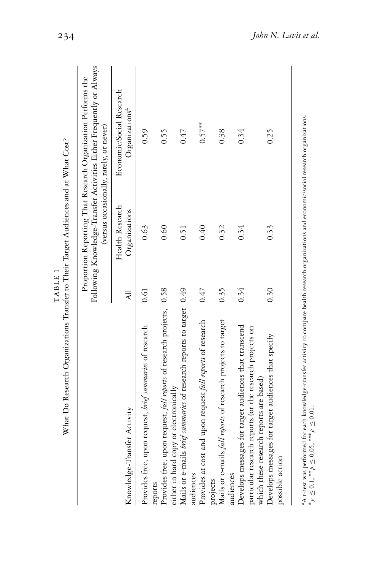|                                                                                                                                                              |                   |                                  | Following Knowledge-Transfer Activities Either Frequently or Always<br>Proportion Reporting That Research Organization Performs the<br>(versus occasionally, rarely, or never) |
|--------------------------------------------------------------------------------------------------------------------------------------------------------------|-------------------|----------------------------------|--------------------------------------------------------------------------------------------------------------------------------------------------------------------------------|
| Knowledge-Transfer Activity                                                                                                                                  | $\overline{A}$ ll | Health Research<br>Organizations | Economic/Social Research<br>Organizations <sup>a</sup>                                                                                                                         |
| Provides free, upon request, brief summaries of research                                                                                                     | 0.61              | 0.63                             | 0.59                                                                                                                                                                           |
| Provides free, upon request, full reports of research projects, 0.58<br>either in hard copy or electronically<br>reports                                     |                   | 0.60                             | 0.55                                                                                                                                                                           |
| Mails or e-mails brief summaries of research reports to target 0.49<br>audiences                                                                             |                   | 0.51                             | 0.47                                                                                                                                                                           |
| Provides at cost and upon request full reports of research                                                                                                   | 0.47              | 0.40                             | $0.57***$                                                                                                                                                                      |
| Mails or e-mails full reports of research projects to target<br>audiences<br>projects                                                                        | 0.35              | 0.32                             | 0.38                                                                                                                                                                           |
| Develops messages for target audiences that transcend<br>particular research reports (or the research projects on<br>which these research reports are based) | 0.34              | 0.34                             | 0.34                                                                                                                                                                           |
| Develops messages for target audiences that specify<br>possible action                                                                                       | 0.30              | 0.33                             | 0.25                                                                                                                                                                           |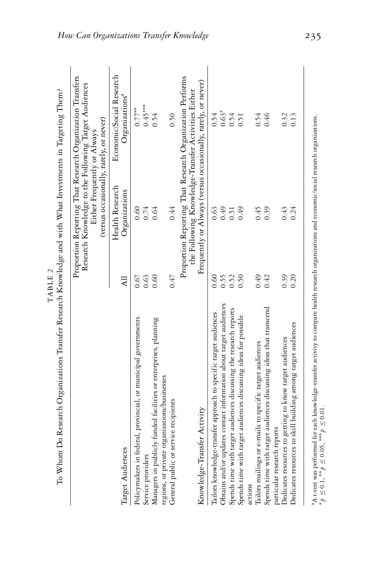|                                                                                                                 |      | (versus occasionally, rarely, or never)<br>Either Frequently or Always | Proportion Reporting That Research Organization Transfers<br>Research Knowledge to the Following Target Audiences                                                              |
|-----------------------------------------------------------------------------------------------------------------|------|------------------------------------------------------------------------|--------------------------------------------------------------------------------------------------------------------------------------------------------------------------------|
|                                                                                                                 |      |                                                                        |                                                                                                                                                                                |
| Target Audiences                                                                                                | All  | Health Research<br>Organizations                                       | Economic/Social Research<br>Organizations <sup>ª</sup>                                                                                                                         |
| Policymakers in federal, provincial, or municipal governments                                                   | 0.67 | 0.60                                                                   | $0.77***$                                                                                                                                                                      |
| Service providers                                                                                               | 0.63 | 0.74                                                                   | $0.45***$                                                                                                                                                                      |
| Managers in publicly funded facilities or enterprises, planning<br>regions, or private organizations/businesses | 0.60 | 0.64                                                                   | 0.54                                                                                                                                                                           |
| General public or service recipients                                                                            | 0.47 | 0.44                                                                   | 0.50                                                                                                                                                                           |
| Knowledge-Transfer Activity                                                                                     |      |                                                                        | Proportion Reporting That Research Organization Performs<br>Frequently or Always (versus occasionally, rarely, or never)<br>the Following Knowledge-Transfer Activities Either |
| Tailors knowledge-transfer approach to specific target audiences                                                | 0.60 | 0.63                                                                   | 0.54                                                                                                                                                                           |
| Obtains and/or updates contact information about target audiences                                               | 0.55 | 0.49                                                                   | $0.63*$                                                                                                                                                                        |
| Spends time with target audiences discussing the research reports                                               | 0.52 | 0.51                                                                   | 0.54                                                                                                                                                                           |
| Spends time with target audiences discussing ideas for possible<br>actions                                      | 0.50 | 0.49                                                                   | 0.51                                                                                                                                                                           |
| Tailors mailings or e-mails to specific target audiences                                                        | 0.49 | 0.45                                                                   | 0.54                                                                                                                                                                           |
| Spends time with target audiences discussing ideas that transcend<br>particular research reports                | 0.42 | 0.39                                                                   | 0.46                                                                                                                                                                           |
| Dedicates resources to getting to know target audiences                                                         | 0.39 | 0.43                                                                   | 0.32                                                                                                                                                                           |
| Dedicates resources to skill building among target audiences                                                    | 0.20 | 0.24                                                                   | 0.13                                                                                                                                                                           |

aA t-test was performed for each knowledge-transfer activity to compare health research organizations and economic/social research organizations. ∗ $\mathfrak{S}^{\mathfrak{a}}$  $\mathfrak{g}^{\mathfrak{a}}$ ن<br>م A t-test was performed for each Kilow.<br>\*  $p \le 0.1$ , \*\*  $p \le 0.05$ , \*\*\*  $p \le 0.01$ . *p* ≤ 0.1, ∗∗ *p* ≤ 0.05, ∗∗∗ *p* ≤ 0.01.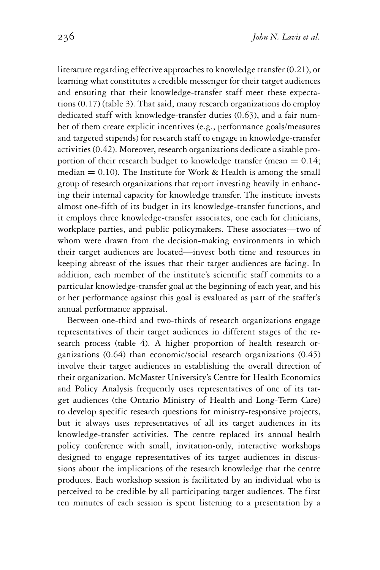literature regarding effective approaches to knowledge transfer (0.21), or learning what constitutes a credible messenger for their target audiences and ensuring that their knowledge-transfer staff meet these expectations (0.17) (table 3). That said, many research organizations do employ dedicated staff with knowledge-transfer duties (0.63), and a fair number of them create explicit incentives (e.g., performance goals/measures and targeted stipends) for research staff to engage in knowledge-transfer activities (0.42). Moreover, research organizations dedicate a sizable proportion of their research budget to knowledge transfer (mean  $= 0.14$ ; median  $= 0.10$ ). The Institute for Work & Health is among the small group of research organizations that report investing heavily in enhancing their internal capacity for knowledge transfer. The institute invests almost one-fifth of its budget in its knowledge-transfer functions, and it employs three knowledge-transfer associates, one each for clinicians, workplace parties, and public policymakers. These associates—two of whom were drawn from the decision-making environments in which their target audiences are located—invest both time and resources in keeping abreast of the issues that their target audiences are facing. In addition, each member of the institute's scientific staff commits to a particular knowledge-transfer goal at the beginning of each year, and his or her performance against this goal is evaluated as part of the staffer's annual performance appraisal.

Between one-third and two-thirds of research organizations engage representatives of their target audiences in different stages of the research process (table 4). A higher proportion of health research organizations (0.64) than economic/social research organizations (0.45) involve their target audiences in establishing the overall direction of their organization. McMaster University's Centre for Health Economics and Policy Analysis frequently uses representatives of one of its target audiences (the Ontario Ministry of Health and Long-Term Care) to develop specific research questions for ministry-responsive projects, but it always uses representatives of all its target audiences in its knowledge-transfer activities. The centre replaced its annual health policy conference with small, invitation-only, interactive workshops designed to engage representatives of its target audiences in discussions about the implications of the research knowledge that the centre produces. Each workshop session is facilitated by an individual who is perceived to be credible by all participating target audiences. The first ten minutes of each session is spent listening to a presentation by a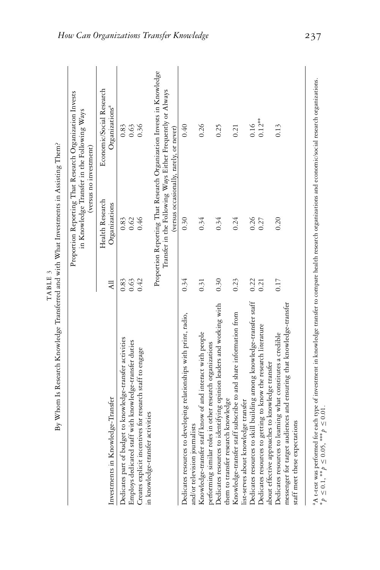| By Whom Is Research Knowledge Transferred and with What Investments in Assisting Them?                                |                |                                  | Proportion Reporting That Research Organization Invests                                                                                                                       |
|-----------------------------------------------------------------------------------------------------------------------|----------------|----------------------------------|-------------------------------------------------------------------------------------------------------------------------------------------------------------------------------|
|                                                                                                                       |                |                                  | in Knowledge Transfer in the Following Ways<br>(versus no investment)                                                                                                         |
| Investments in Knowledge-Transfer                                                                                     | $\overline{4}$ | Health Research<br>Organizations | Economic/Social Research<br>Organizations <sup>a</sup>                                                                                                                        |
| Dedicates part of budget to knowledge-transfer activities                                                             | 0.83           | 0.83                             | $0.83\,$                                                                                                                                                                      |
| Employs dedicated staff with knowledge-transfer duties<br>Creates explicit incentives for research staff to engage    | 0.63<br>0.42   | 0.46<br>0.62                     | 0.63<br>0.36                                                                                                                                                                  |
| in knowledge-transfer activities                                                                                      |                |                                  |                                                                                                                                                                               |
|                                                                                                                       |                |                                  | Proportion Reporting That Research Organization Invests in Knowledge<br>Transfer in the Following Ways Either Frequently or Always<br>(versus occasionally, rarely, or never) |
| Dedicates resources to developing relationships with print, radio,<br>and/or television journalists                   | 0.34           | 0.30                             | 0.40                                                                                                                                                                          |
| Knowledge-transfer staff know of and interact with people<br>performing similar roles in other research organizations | 0.31           | 0.34                             | 0.26                                                                                                                                                                          |
| Dedicates resources to identifying opinion leaders and working with<br>them to transfer research knowledge            | 0.30           | 0.34                             | 0.25                                                                                                                                                                          |
| Knowledge-transfer staff subscribe to and share information from<br>list-serves about knowledge transfer              | 0.23           | 0.24                             | 0.21                                                                                                                                                                          |
| Dedicates resources to skill building among knowledge-transfer staff                                                  | 0.22           | 0.26                             | 0.16                                                                                                                                                                          |
| Dedicates resources to getting to know the research literature<br>about effective approaches to knowledge transfer    | 0.21           | 0.27                             | $0.12***$                                                                                                                                                                     |
| Dedicates resources to learning what constitutes a credible                                                           | 0.17           | 0.20                             | 0.13                                                                                                                                                                          |
| messenger for target audiences and ensuring that knowledge-transfer                                                   |                |                                  |                                                                                                                                                                               |
| staff meet these expectations                                                                                         |                |                                  |                                                                                                                                                                               |
|                                                                                                                       |                |                                  |                                                                                                                                                                               |

<sup>a</sup>A t-test was performed for each type of investment in knowledge transfer to compare health research organizations and economic/social research organizations.<br>\*  $p \le 0.1$ , \*\*  $p \le 0.05$ , \*\*\*  $p \le 0.01$ . aA t-test was performed for each type of investment in knowledge transfer to compare health research organizations and economic/social research organizations. ∗*p* ≤ 0.1, ∗∗ *p* ≤ 0.05, ∗∗∗ *p* ≤ 0.01.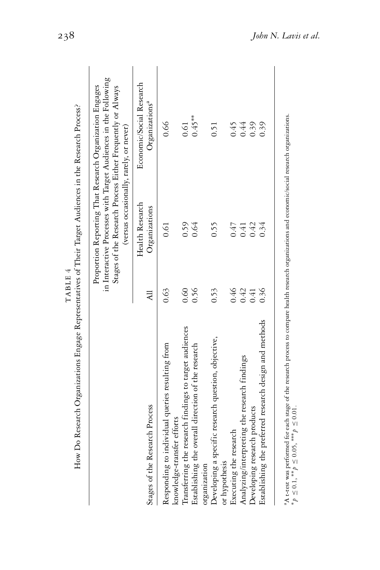|                                                                               |      |                                         | in Interactive Processes with Target Audiences in the Following<br>Proportion Reporting That Research Organization Engages<br>Stages of the Research Process Either Frequently or Always<br>(versus occasionally, rarely, or never) |
|-------------------------------------------------------------------------------|------|-----------------------------------------|-------------------------------------------------------------------------------------------------------------------------------------------------------------------------------------------------------------------------------------|
| Stages of the Research Process                                                | Ę    | <b>Health Research</b><br>Organizations | Economic/Social Research<br>Organizations <sup>a</sup>                                                                                                                                                                              |
| Responding to individual queries resulting from<br>knowledge-transfer efforts | 0.63 | 0.61                                    | 0.66                                                                                                                                                                                                                                |
| Transferring the research findings to target audiences                        | 0.60 | 0.59                                    | 0.61                                                                                                                                                                                                                                |
| Establishing the overall direction of the research<br>organization            | 0.56 | 0.64                                    | $0.45***$                                                                                                                                                                                                                           |
| Developing a specific research question, objective,<br>or hypothesis          | 0.53 | 0.55                                    | 0.51                                                                                                                                                                                                                                |
| Executing the research                                                        | 0.46 | 6.47                                    | 0.45                                                                                                                                                                                                                                |
| Analyzing/interpreting the research findings                                  | 0.42 | 0.41                                    | 0.44                                                                                                                                                                                                                                |
| Developing research products                                                  | 0.41 | 0.42                                    | 0.39                                                                                                                                                                                                                                |
| Establishing the preferred research design and methods                        | 0.36 | 0.34                                    | 0.39                                                                                                                                                                                                                                |

<sup>a</sup>A t-test was performed for each stage of the research process to compare health research organizations and economic/social research organizations. <sup>a</sup>A t-test was performed for each stage of the research process to compare health research organizations and economic/social research organizations.<br>\*  $p \le 0.1$ , \*\*  $p \le 0.05$ , \*\*\*  $p \le 0.01$ . *p* ≤ 0.1, ∗∗ *p* ≤ 0.05, ∗∗∗ *p* ≤ 0.01.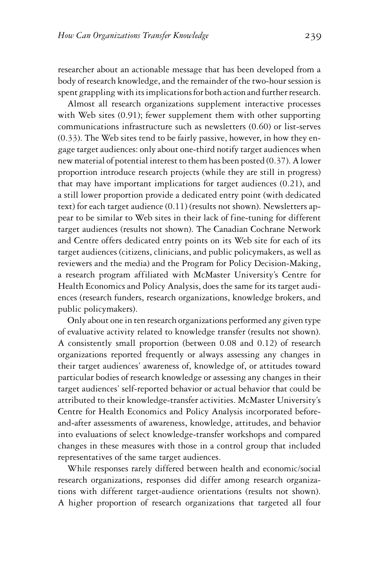researcher about an actionable message that has been developed from a body of research knowledge, and the remainder of the two-hour session is spent grappling with its implications for both action and further research.

Almost all research organizations supplement interactive processes with Web sites (0.91); fewer supplement them with other supporting communications infrastructure such as newsletters (0.60) or list-serves (0.33). The Web sites tend to be fairly passive, however, in how they engage target audiences: only about one-third notify target audiences when new material of potential interest to them has been posted (0.37). A lower proportion introduce research projects (while they are still in progress) that may have important implications for target audiences (0.21), and a still lower proportion provide a dedicated entry point (with dedicated text) for each target audience (0.11) (results not shown). Newsletters appear to be similar to Web sites in their lack of fine-tuning for different target audiences (results not shown). The Canadian Cochrane Network and Centre offers dedicated entry points on its Web site for each of its target audiences (citizens, clinicians, and public policymakers, as well as reviewers and the media) and the Program for Policy Decision-Making, a research program affiliated with McMaster University's Centre for Health Economics and Policy Analysis, does the same for its target audiences (research funders, research organizations, knowledge brokers, and public policymakers).

Only about one in ten research organizations performed any given type of evaluative activity related to knowledge transfer (results not shown). A consistently small proportion (between 0.08 and 0.12) of research organizations reported frequently or always assessing any changes in their target audiences' awareness of, knowledge of, or attitudes toward particular bodies of research knowledge or assessing any changes in their target audiences' self-reported behavior or actual behavior that could be attributed to their knowledge-transfer activities. McMaster University's Centre for Health Economics and Policy Analysis incorporated beforeand-after assessments of awareness, knowledge, attitudes, and behavior into evaluations of select knowledge-transfer workshops and compared changes in these measures with those in a control group that included representatives of the same target audiences.

While responses rarely differed between health and economic/social research organizations, responses did differ among research organizations with different target-audience orientations (results not shown). A higher proportion of research organizations that targeted all four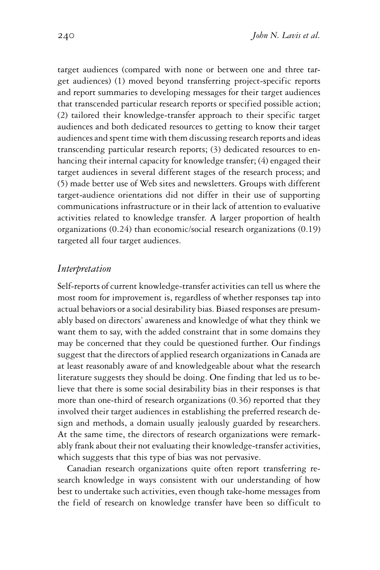target audiences (compared with none or between one and three target audiences) (1) moved beyond transferring project-specific reports and report summaries to developing messages for their target audiences that transcended particular research reports or specified possible action; (2) tailored their knowledge-transfer approach to their specific target audiences and both dedicated resources to getting to know their target audiences and spent time with them discussing research reports and ideas transcending particular research reports; (3) dedicated resources to enhancing their internal capacity for knowledge transfer; (4) engaged their target audiences in several different stages of the research process; and (5) made better use of Web sites and newsletters. Groups with different target-audience orientations did not differ in their use of supporting communications infrastructure or in their lack of attention to evaluative activities related to knowledge transfer. A larger proportion of health organizations (0.24) than economic/social research organizations (0.19) targeted all four target audiences.

#### *Interpretation*

Self-reports of current knowledge-transfer activities can tell us where the most room for improvement is, regardless of whether responses tap into actual behaviors or a social desirability bias. Biased responses are presumably based on directors' awareness and knowledge of what they think we want them to say, with the added constraint that in some domains they may be concerned that they could be questioned further. Our findings suggest that the directors of applied research organizations in Canada are at least reasonably aware of and knowledgeable about what the research literature suggests they should be doing. One finding that led us to believe that there is some social desirability bias in their responses is that more than one-third of research organizations (0.36) reported that they involved their target audiences in establishing the preferred research design and methods, a domain usually jealously guarded by researchers. At the same time, the directors of research organizations were remarkably frank about their not evaluating their knowledge-transfer activities, which suggests that this type of bias was not pervasive.

Canadian research organizations quite often report transferring research knowledge in ways consistent with our understanding of how best to undertake such activities, even though take-home messages from the field of research on knowledge transfer have been so difficult to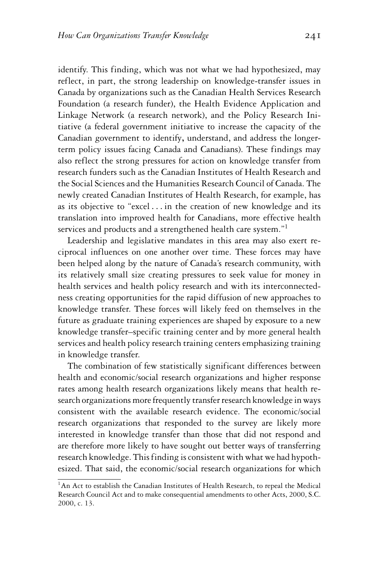identify. This finding, which was not what we had hypothesized, may reflect, in part, the strong leadership on knowledge-transfer issues in Canada by organizations such as the Canadian Health Services Research Foundation (a research funder), the Health Evidence Application and Linkage Network (a research network), and the Policy Research Initiative (a federal government initiative to increase the capacity of the Canadian government to identify**,** understand, and address the longerterm policy issues facing Canada and Canadians). These findings may also reflect the strong pressures for action on knowledge transfer from research funders such as the Canadian Institutes of Health Research and the Social Sciences and the Humanities Research Council of Canada. The newly created Canadian Institutes of Health Research, for example, has as its objective to "excel ... in the creation of new knowledge and its translation into improved health for Canadians, more effective health services and products and a strengthened health care system."<sup>1</sup>

Leadership and legislative mandates in this area may also exert reciprocal influences on one another over time. These forces may have been helped along by the nature of Canada's research community, with its relatively small size creating pressures to seek value for money in health services and health policy research and with its interconnectedness creating opportunities for the rapid diffusion of new approaches to knowledge transfer. These forces will likely feed on themselves in the future as graduate training experiences are shaped by exposure to a new knowledge transfer–specific training center and by more general health services and health policy research training centers emphasizing training in knowledge transfer.

The combination of few statistically significant differences between health and economic/social research organizations and higher response rates among health research organizations likely means that health research organizations more frequently transfer research knowledge in ways consistent with the available research evidence. The economic/social research organizations that responded to the survey are likely more interested in knowledge transfer than those that did not respond and are therefore more likely to have sought out better ways of transferring research knowledge. This finding is consistent with what we had hypothesized. That said, the economic/social research organizations for which

<sup>&</sup>lt;sup>1</sup>An Act to establish the Canadian Institutes of Health Research, to repeal the Medical Research Council Act and to make consequential amendments to other Acts, 2000, S.C. 2000, c. 13.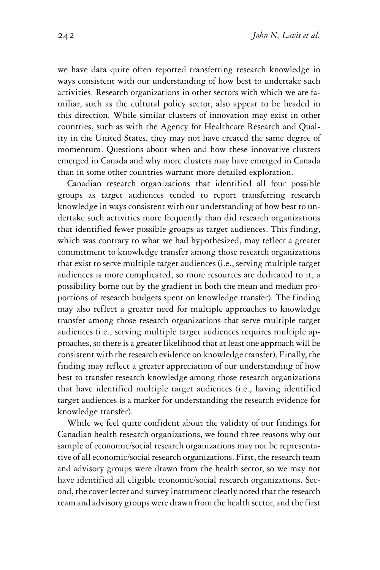we have data quite often reported transferring research knowledge in ways consistent with our understanding of how best to undertake such activities. Research organizations in other sectors with which we are familiar, such as the cultural policy sector, also appear to be headed in this direction. While similar clusters of innovation may exist in other countries, such as with the Agency for Healthcare Research and Quality in the United States, they may not have created the same degree of momentum. Questions about when and how these innovative clusters emerged in Canada and why more clusters may have emerged in Canada than in some other countries warrant more detailed exploration.

Canadian research organizations that identified all four possible groups as target audiences tended to report transferring research knowledge in ways consistent with our understanding of how best to undertake such activities more frequently than did research organizations that identified fewer possible groups as target audiences. This finding, which was contrary to what we had hypothesized, may reflect a greater commitment to knowledge transfer among those research organizations that exist to serve multiple target audiences (i.e., serving multiple target audiences is more complicated, so more resources are dedicated to it, a possibility borne out by the gradient in both the mean and median proportions of research budgets spent on knowledge transfer). The finding may also reflect a greater need for multiple approaches to knowledge transfer among those research organizations that serve multiple target audiences (i.e., serving multiple target audiences requires multiple approaches, so there is a greater likelihood that at least one approach will be consistent with the research evidence on knowledge transfer). Finally, the finding may reflect a greater appreciation of our understanding of how best to transfer research knowledge among those research organizations that have identified multiple target audiences (i.e., having identified target audiences is a marker for understanding the research evidence for knowledge transfer).

While we feel quite confident about the validity of our findings for Canadian health research organizations, we found three reasons why our sample of economic/social research organizations may not be representative of all economic/social research organizations. First, the research team and advisory groups were drawn from the health sector, so we may not have identified all eligible economic/social research organizations. Second, the cover letter and survey instrument clearly noted that the research team and advisory groups were drawn from the health sector, and the first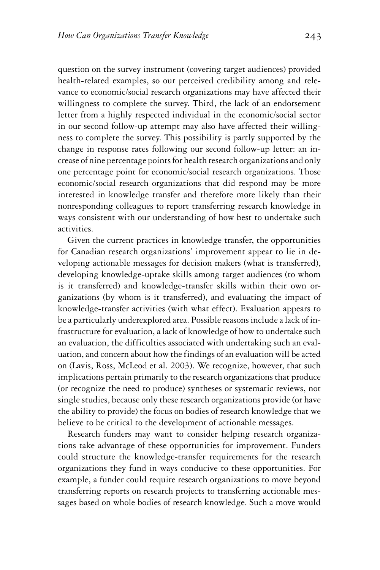question on the survey instrument (covering target audiences) provided health-related examples, so our perceived credibility among and relevance to economic/social research organizations may have affected their willingness to complete the survey. Third, the lack of an endorsement letter from a highly respected individual in the economic/social sector in our second follow-up attempt may also have affected their willingness to complete the survey. This possibility is partly supported by the change in response rates following our second follow-up letter: an increase of nine percentage points for health research organizations and only one percentage point for economic/social research organizations. Those economic/social research organizations that did respond may be more interested in knowledge transfer and therefore more likely than their nonresponding colleagues to report transferring research knowledge in ways consistent with our understanding of how best to undertake such activities.

Given the current practices in knowledge transfer, the opportunities for Canadian research organizations' improvement appear to lie in developing actionable messages for decision makers (what is transferred), developing knowledge-uptake skills among target audiences (to whom is it transferred) and knowledge-transfer skills within their own organizations (by whom is it transferred), and evaluating the impact of knowledge-transfer activities (with what effect). Evaluation appears to be a particularly underexplored area. Possible reasons include a lack of infrastructure for evaluation, a lack of knowledge of how to undertake such an evaluation, the difficulties associated with undertaking such an evaluation, and concern about how the findings of an evaluation will be acted on (Lavis, Ross, McLeod et al. 2003). We recognize, however, that such implications pertain primarily to the research organizations that produce (or recognize the need to produce) syntheses or systematic reviews, not single studies, because only these research organizations provide (or have the ability to provide) the focus on bodies of research knowledge that we believe to be critical to the development of actionable messages.

Research funders may want to consider helping research organizations take advantage of these opportunities for improvement. Funders could structure the knowledge-transfer requirements for the research organizations they fund in ways conducive to these opportunities. For example, a funder could require research organizations to move beyond transferring reports on research projects to transferring actionable messages based on whole bodies of research knowledge. Such a move would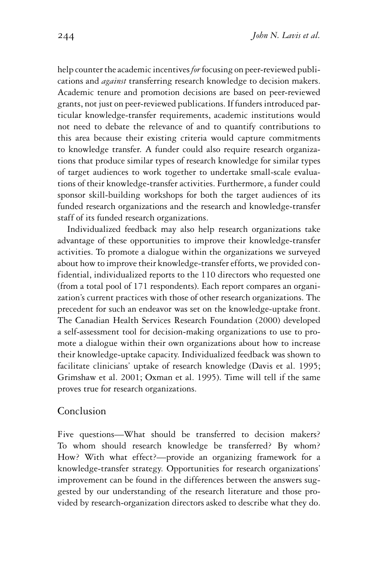help counter the academic incentives*for*focusing on peer-reviewed publications and *against* transferring research knowledge to decision makers. Academic tenure and promotion decisions are based on peer-reviewed grants, not just on peer-reviewed publications. If funders introduced particular knowledge-transfer requirements, academic institutions would not need to debate the relevance of and to quantify contributions to this area because their existing criteria would capture commitments to knowledge transfer. A funder could also require research organizations that produce similar types of research knowledge for similar types of target audiences to work together to undertake small-scale evaluations of their knowledge-transfer activities. Furthermore, a funder could sponsor skill-building workshops for both the target audiences of its funded research organizations and the research and knowledge-transfer staff of its funded research organizations.

Individualized feedback may also help research organizations take advantage of these opportunities to improve their knowledge-transfer activities. To promote a dialogue within the organizations we surveyed about how to improve their knowledge-transfer efforts, we provided confidential, individualized reports to the 110 directors who requested one (from a total pool of 171 respondents). Each report compares an organization's current practices with those of other research organizations. The precedent for such an endeavor was set on the knowledge-uptake front. The Canadian Health Services Research Foundation (2000) developed a self-assessment tool for decision-making organizations to use to promote a dialogue within their own organizations about how to increase their knowledge-uptake capacity. Individualized feedback was shown to facilitate clinicians' uptake of research knowledge (Davis et al. 1995; Grimshaw et al. 2001; Oxman et al. 1995). Time will tell if the same proves true for research organizations.

#### Conclusion

Five questions—What should be transferred to decision makers? To whom should research knowledge be transferred? By whom? How? With what effect?—provide an organizing framework for a knowledge-transfer strategy. Opportunities for research organizations' improvement can be found in the differences between the answers suggested by our understanding of the research literature and those provided by research-organization directors asked to describe what they do.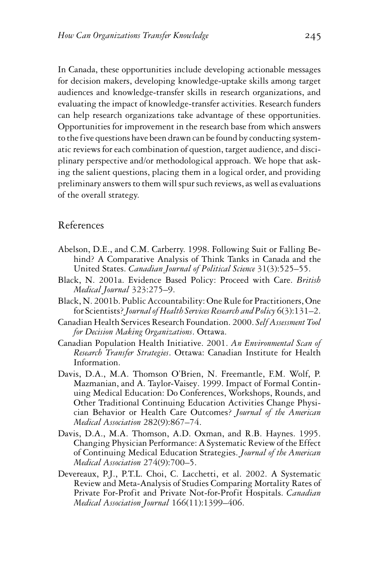In Canada, these opportunities include developing actionable messages for decision makers, developing knowledge-uptake skills among target audiences and knowledge-transfer skills in research organizations, and evaluating the impact of knowledge-transfer activities. Research funders can help research organizations take advantage of these opportunities. Opportunities for improvement in the research base from which answers to the five questions have been drawn can be found by conducting systematic reviews for each combination of question, target audience, and disciplinary perspective and/or methodological approach. We hope that asking the salient questions, placing them in a logical order, and providing preliminary answers to them will spur such reviews, as well as evaluations of the overall strategy.

#### References

- Abelson, D.E., and C.M. Carberry. 1998. Following Suit or Falling Behind? A Comparative Analysis of Think Tanks in Canada and the United States. *Canadian Journal of Political Science* 31(3):525–55.
- Black, N. 2001a. Evidence Based Policy: Proceed with Care. *British Medical Journal* 323:275–9.
- Black, N. 2001b. Public Accountability: One Rule for Practitioners, One for Scientists?*Journal of Health Services Research and Policy* 6(3):131–2.
- Canadian Health Services Research Foundation. 2000. *Self Assessment Tool for Decision Making Organizations*. Ottawa.
- Canadian Population Health Initiative. 2001. *An Environmental Scan of Research Transfer Strategies*. Ottawa: Canadian Institute for Health Information.
- Davis, D.A., M.A. Thomson O'Brien, N. Freemantle, F.M. Wolf, P. Mazmanian, and A. Taylor-Vaisey. 1999. Impact of Formal Continuing Medical Education: Do Conferences, Workshops, Rounds, and Other Traditional Continuing Education Activities Change Physician Behavior or Health Care Outcomes? *Journal of the American Medical Association* 282(9):867–74.
- Davis, D.A., M.A. Thomson, A.D. Oxman, and R.B. Haynes. 1995. Changing Physician Performance: A Systematic Review of the Effect of Continuing Medical Education Strategies. *Journal of the American Medical Association* 274(9):700–5.
- Devereaux, P.J., P.T.L. Choi, C. Lacchetti, et al. 2002. A Systematic Review and Meta-Analysis of Studies Comparing Mortality Rates of Private For-Profit and Private Not-for-Profit Hospitals. *Canadian Medical Association Journal* 166(11):1399–406.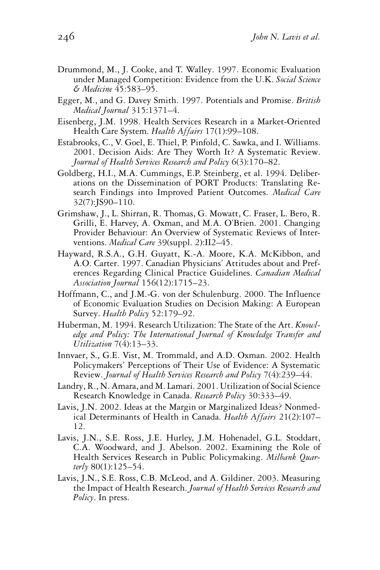- Drummond, M., J. Cooke, and T. Walley. 1997. Economic Evaluation under Managed Competition: Evidence from the U.K. *Social Science & Medicine* 45:583–95.
- Egger, M., and G. Davey Smith. 1997. Potentials and Promise. *British Medical Journal* 315:1371–4.
- Eisenberg, J.M. 1998. Health Services Research in a Market-Oriented Health Care System. *Health Affairs* 17(1):99–108.
- Estabrooks, C., V. Goel, E. Thiel, P. Pinfold, C. Sawka, and I. Williams. 2001. Decision Aids: Are They Worth It? A Systematic Review. *Journal of Health Services Research and Policy* 6(3):170–82.
- Goldberg, H.I., M.A. Cummings, E.P. Steinberg, et al. 1994. Deliberations on the Dissemination of PORT Products: Translating Research Findings into Improved Patient Outcomes. *Medical Care* 32(7):JS90–110.
- Grimshaw, J., L. Shirran, R. Thomas, G. Mowatt, C. Fraser, L. Bero, R. Grilli, E. Harvey, A. Oxman, and M.A. O'Brien. 2001. Changing Provider Behaviour: An Overview of Systematic Reviews of Interventions. *Medical Care* 39(suppl. 2):II2–45.
- Hayward, R.S.A., G.H. Guyatt, K.-A. Moore, K.A. McKibbon, and A.O. Carter. 1997. Canadian Physicians' Attitudes about and Preferences Regarding Clinical Practice Guidelines. *Canadian Medical Association Journal* 156(12):1715–23.
- Hoffmann, C., and J.M.-G. von der Schulenburg. 2000. The Influence of Economic Evaluation Studies on Decision Making: A European Survey. *Health Policy* 52:179–92.
- Huberman, M. 1994. Research Utilization: The State of the Art. *Knowledge and Policy: The International Journal of Knowledge Transfer and Utilization* 7(4):13–33.
- Innvaer, S., G.E. Vist, M. Trommald, and A.D. Oxman. 2002. Health Policymakers' Perceptions of Their Use of Evidence: A Systematic Review. *Journal of Health Services Research and Policy* 7(4):239–44.
- Landry, R., N. Amara, and M. Lamari. 2001. Utilization of Social Science Research Knowledge in Canada. *Research Policy* 30:333–49.
- Lavis, J.N. 2002. Ideas at the Margin or Marginalized Ideas? Nonmedical Determinants of Health in Canada. *Health Affairs* 21(2):107– 12.
- Lavis, J.N., S.E. Ross, J.E. Hurley, J.M. Hohenadel, G.L. Stoddart, C.A. Woodward, and J. Abelson. 2002. Examining the Role of Health Services Research in Public Policymaking. *Milbank Quarterly* 80(1):125–54.
- Lavis, J.N., S.E. Ross, C.B. McLeod, and A. Gildiner. 2003. Measuring the Impact of Health Research. *Journal of Health Services Research and Policy*. In press.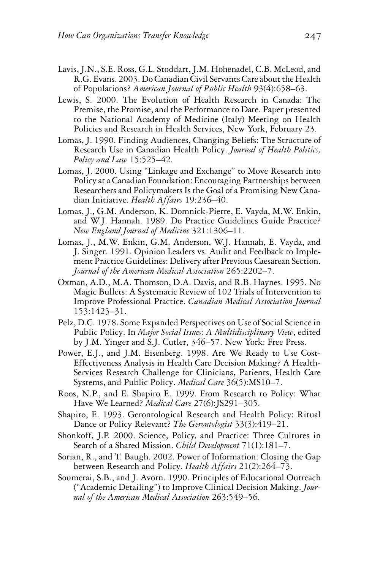- Lavis, J.N., S.E. Ross, G.L. Stoddart, J.M. Hohenadel, C.B. McLeod, and R.G. Evans. 2003. Do Canadian Civil Servants Care about the Health of Populations? *American Journal of Public Health* 93(4):658–63.
- Lewis, S. 2000. The Evolution of Health Research in Canada: The Premise, the Promise, and the Performance to Date. Paper presented to the National Academy of Medicine (Italy) Meeting on Health Policies and Research in Health Services, New York, February 23.
- Lomas, J. 1990. Finding Audiences, Changing Beliefs: The Structure of Research Use in Canadian Health Policy. *Journal of Health Politics, Policy and Law* 15:525–42.
- Lomas, J. 2000. Using "Linkage and Exchange" to Move Research into Policy at a Canadian Foundation: Encouraging Partnerships between Researchers and Policymakers Is the Goal of a Promising New Canadian Initiative. *Health Affairs* 19:236–40.
- Lomas, J., G.M. Anderson, K. Domnick-Pierre, E. Vayda, M.W. Enkin, and W.J. Hannah. 1989. Do Practice Guidelines Guide Practice? *New England Journal of Medicine* 321:1306–11.
- Lomas, J., M.W. Enkin, G.M. Anderson, W.J. Hannah, E. Vayda, and J. Singer. 1991. Opinion Leaders vs. Audit and Feedback to Implement Practice Guidelines: Delivery after Previous Caesarean Section. *Journal of the American Medical Association* 265:2202–7.
- Oxman, A.D., M.A. Thomson, D.A. Davis, and R.B. Haynes. 1995. No Magic Bullets: A Systematic Review of 102 Trials of Intervention to Improve Professional Practice. *Canadian Medical Association Journal* 153:1423–31.
- Pelz, D.C. 1978. Some Expanded Perspectives on Use of Social Science in Public Policy. In *Major Social Issues: A Multidisciplinary View*, edited by J.M. Yinger and S.J. Cutler, 346–57. New York: Free Press.
- Power, E.J., and J.M. Eisenberg. 1998. Are We Ready to Use Cost-Effectiveness Analysis in Health Care Decision Making? A Health-Services Research Challenge for Clinicians, Patients, Health Care Systems, and Public Policy. *Medical Care* 36(5):MS10–7.
- Roos, N.P., and E. Shapiro E. 1999. From Research to Policy: What Have We Learned? *Medical Care* 27(6):JS291–305.
- Shapiro, E. 1993. Gerontological Research and Health Policy: Ritual Dance or Policy Relevant? *The Gerontologist* 33(3):419–21.
- Shonkoff, J.P. 2000. Science, Policy, and Practice: Three Cultures in Search of a Shared Mission. *Child Development* 71(1):181–7.
- Sorian, R., and T. Baugh. 2002. Power of Information: Closing the Gap between Research and Policy. *Health Affairs* 21(2):264–73.
- Soumerai, S.B., and J. Avorn. 1990. Principles of Educational Outreach ("Academic Detailing") to Improve Clinical Decision Making. *Journal of the American Medical Association* 263:549–56.